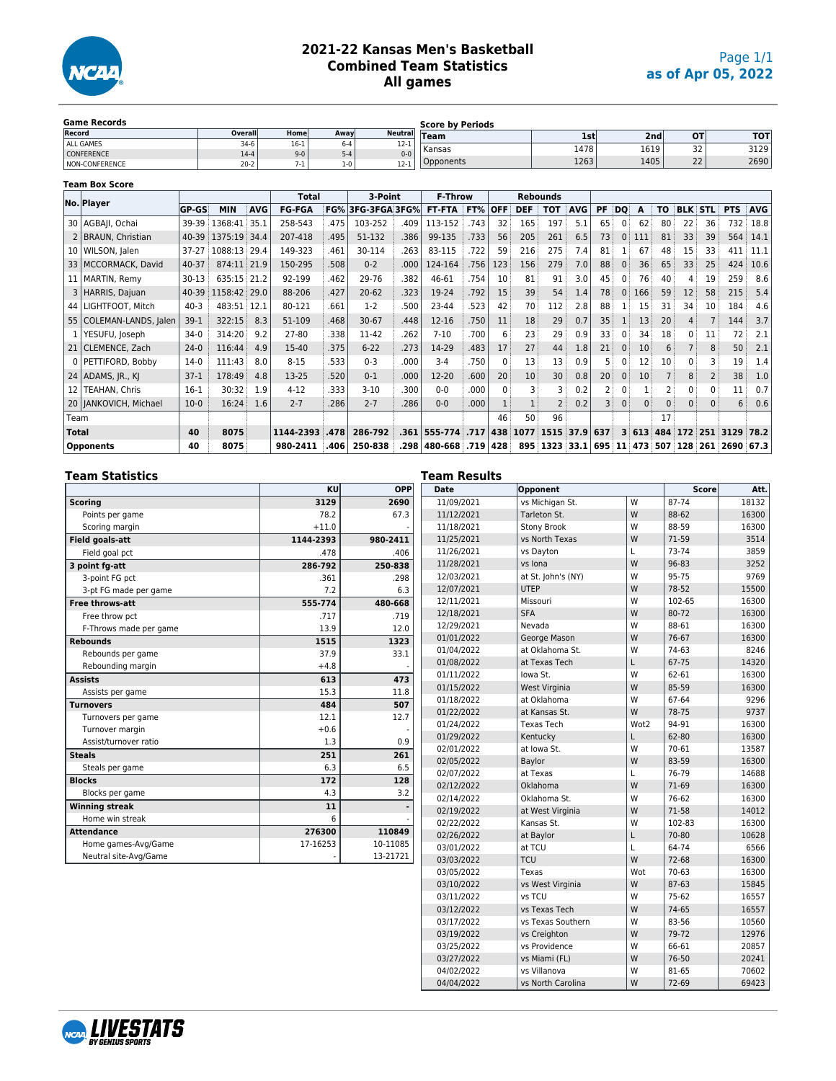

## **2021-22 Kansas Men's Basketball Combined Team Statistics All games**

| <b>Game Records</b>   |          |       |      |                       | <b>Score by Periods</b> |            |      |                      |            |
|-----------------------|----------|-------|------|-----------------------|-------------------------|------------|------|----------------------|------------|
| Record                | Overall  | Homel | Away | <b>Neutral</b>        | Team                    | <b>Ist</b> | 2ndl | <b>OT</b>            | <b>TOT</b> |
| ALL GAMES             | $34-6$   | 10-T  | i-4  | $\sim$ $\sim$<br>14-T | Kansas                  | 1478       | 1619 | $\sim$               | 3129       |
| <b>CONFERENCE</b>     | $14-4$   | $9-0$ |      | $0 - 0$               |                         |            |      | ے ر                  |            |
| <b>NON-CONFERENCE</b> | $20 - 2$ |       | 0-،  | $12-1$                | pponents                | 1263       | 1405 | $\sim$<br><u>_ _</u> | 2690       |

|                 | <b>Team Box Score</b>   |              |              |            |               |      |               |      |                 |       |            |              |                 |            |                |                |              |             |                |                |               |            |
|-----------------|-------------------------|--------------|--------------|------------|---------------|------|---------------|------|-----------------|-------|------------|--------------|-----------------|------------|----------------|----------------|--------------|-------------|----------------|----------------|---------------|------------|
|                 | No. Player              |              |              |            | Total         |      | 3-Point       |      | <b>F-Throw</b>  |       |            |              | <b>Rebounds</b> |            |                |                |              |             |                |                |               |            |
|                 |                         | <b>GP-GS</b> | <b>MIN</b>   | <b>AVG</b> | <b>FG-FGA</b> | FG%  | 3FG-3FGA 3FG% |      | <b>FT-FTA</b>   | FT%   | <b>OFF</b> | <b>DEF</b>   | <b>TOT</b>      | <b>AVG</b> | <b>PF</b>      | DQ.            | A            | TO          | <b>BLK</b>     | <b>STL</b>     | <b>PTS</b>    | <b>AVG</b> |
| 30              | AGBAJI, Ochai           | 39-39        | 1368:41 35.1 |            | 258-543       | .475 | 103-252       | .409 | 113-152         | .743  | 32         | 165          | 197             | 5.1        | 65             | $\mathbf{0}$   | 62           | 80          | 22             | 36             | 732           | 18.8       |
|                 | <b>BRAUN, Christian</b> | 40-39        | 1375:19 34.4 |            | 207-418       | .495 | 51-132        | .386 | 99-135          | .733  | 56         | 205          | 261             | 6.5        | 73             | $\mathbf{0}$   | 111          | 81          | 33             | 39             | 564           | 14.1       |
| 10 <sup>1</sup> | WILSON, Jalen           | $37 - 27$    | 1088:13 29.4 |            | 149-323       | .461 | 30-114        | .263 | 83-115          | .722  | 59         | 216          | 275             | 7.4        | 81             |                | 67           | 48          | 15             | 33             | 411           | 11.1       |
| 33 <sup>1</sup> | MCCORMACK, David        | 40-37        | 874:11 21.9  |            | 150-295       | .508 | $0 - 2$       | .000 | 124-164         | .756  | 123        | 156          | 279             | 7.0        | 88             | 0 <sup>1</sup> | 36           | 65          | 33             | 25             | 424           | 10.6       |
| 11 <sup>1</sup> | MARTIN, Remy            | $30 - 13$    | 635:15 21.2  |            | 92-199        | .462 | 29-76         | .382 | 46-61           | .754  | 10         | 81           | 91              | 3.0        | 45             | $\mathbf{0}$   | 76           | 40          | 4              | 19             | 259           | 8.6        |
| 3               | HARRIS, Dajuan          | 40-39        | 1158:42 29.0 |            | 88-206        | .427 | $20 - 62$     | .323 | 19-24           | .792  | 15         | 39           | 54              | 1.4        | 78             | $\mathbf{0}$   | 166          | 59          | 12             | 58             | 215           | 5.4        |
| 44              | LIGHTFOOT, Mitch        | $40 - 3$     | 483:51 12.1  |            | 80-121        | .661 | $1-2$         | .500 | 23-44           | .523  | 42         | 70           | 112             | 2.8        | 88             | 11             | 15           | 31          | 34             | 10             | 184           | 4.6        |
| 55              | COLEMAN-LANDS, Jalen    | $39-1$       | 322:15       | 8.3        | 51-109        | .468 | $30 - 67$     | .448 | 12-16           | .750  | 11         | 18           | 29              | 0.7        | 35             | $\mathbf{1}$   | 13           | 20          | $\overline{4}$ |                | 144           | 3.7        |
|                 | YESUFU, Joseph          | $34-0$       | 314:20       | 9.2        | 27-80         | .338 | 11-42         | .262 | $7 - 10$        | .700  | 6          | 23           | 29              | 0.9        | 33             | 0 <sup>1</sup> | 34           | 18          | 0 <sup>1</sup> | 11             | 72            | 2.1        |
|                 | 21 CLEMENCE, Zach       | $24-0$       | 116:44       | 4.9        | 15-40         | .375 | $6 - 22$      | .273 | 14-29           | .483  | 17         | 27           | 44              | 1.8        | 21             | $\mathbf{0}$   | 10           | 6           |                | 8              | 50            | 2.1        |
| 0               | PETTIFORD, Bobby        | $14-0$       | 111:43       | 8.0        | $8 - 15$      | .533 | $0 - 3$       | .000 | $3 - 4$         | .750  | $\Omega$   | 13           | 13              | 0.9        | 5              | 0              | 12           | 10          | 0              | 3              | 19            | 1.4        |
|                 | $24$ ADAMS, JR., KJ     | $37-1$       | 178:49       | 4.8        | 13-25         | .520 | $0 - 1$       | .000 | 12-20           | .600  | 20         | 10           | 30              | 0.8        | 20             | $\mathbf{0}$   | 10           |             | 8              | $\overline{2}$ | 38            | 1.0        |
| 12 <sub>1</sub> | <b>TEAHAN, Chris</b>    | $16-1$       | 30:32        | 1.9        | $4 - 12$      | .333 | $3 - 10$      | .300 | $0 - 0$         | .000  | $\Omega$   | 3            | 3               | 0.2        | 2              | 0              |              |             | 0              | $\Omega$       | 11            | 0.7        |
|                 | 20   JANKOVICH, Michael | $10-0$       | 16:24        | 1.6        | $2 - 7$       | .286 | $2 - 7$       | .286 | $0 - 0$         | .000. |            | $\mathbf{1}$ | $\overline{2}$  | 0.2        | 3              | $\mathbf{0}$   | $\mathbf{0}$ | $\mathbf 0$ | $\mathbf{0}$   | 0              | 6             | 0.6        |
| Team            |                         |              |              |            |               |      |               |      |                 |       | 46         | 50           | 96              |            |                |                |              | 17          |                |                |               |            |
| <b>Total</b>    |                         | 40           | 8075         |            | 1144-2393     | .478 | 286-792       | .361 | 555-774         | .717  | 438        | 1077         | 1515            | 37.9       | 637            |                | 3 613        | 484         | 172            | 251            | 3129          | 78.2       |
|                 | <b>Opponents</b>        | 40           | 8075         |            | 980-2411      | .406 | 250-838       | .298 | 480-668 719 428 |       |            |              | 895 1323        | 33.1       | 695   11   473 |                |              |             | 507 128        |                | 261 2690 67.3 |            |

|                        | KU        | Tean<br><b>OPP</b><br>Dat |
|------------------------|-----------|---------------------------|
| <b>Scoring</b>         | 3129      | 2690<br>11/               |
| Points per game        | 78.2      | 67.3<br>11/               |
| Scoring margin         | $+11.0$   | 11/                       |
| <b>Field goals-att</b> | 1144-2393 | 980-2411<br>11/           |
| Field goal pct         | .478      | 11/<br>.406               |
| 3 point fg-att         | 286-792   | 11/<br>250-838            |
| 3-point FG pct         | .361      | 12/<br>.298               |
| 3-pt FG made per game  | 7.2       | 12/<br>6.3                |
| Free throws-att        | 555-774   | 12/<br>480-668            |
| Free throw pct         | .717      | 12/<br>.719               |
| F-Throws made per game | 13.9      | 12/<br>12.0               |
| <b>Rebounds</b>        | 1515      | 01/<br>1323               |
| Rebounds per game      | 37.9      | 01/<br>33.1               |
| Rebounding margin      | $+4.8$    | 01/                       |
| <b>Assists</b>         | 613       | 01/<br>473                |
| Assists per game       | 15.3      | 01/<br>11.8               |
| <b>Turnovers</b>       | 484       | 01/<br>507                |
| Turnovers per game     | 12.1      | 01/<br>12.7               |
| Turnover margin        | $+0.6$    | 01/<br>01/                |
| Assist/turnover ratio  | 1.3       | 0.9<br>02/                |
| <b>Steals</b>          | 251       | 261<br>02/                |
| Steals per game        | 6.3       | 6.5<br>02/                |
| <b>Blocks</b>          | 172       | 128<br>02/                |
| Blocks per game        | 4.3       | 3.2<br>02/                |
| <b>Winning streak</b>  | 11        | 02/                       |
| Home win streak        | 6         | 02/                       |
| <b>Attendance</b>      | 276300    | 110849<br>02/             |
| Home games-Avg/Game    | 17-16253  | 10-11085<br>03/           |
| Neutral site-Avg/Game  |           | 13-21721<br>03/           |

| am Results  |                    |      |              |       |
|-------------|--------------------|------|--------------|-------|
| <b>Date</b> | Opponent           |      | <b>Score</b> | Att.  |
| 11/09/2021  | vs Michigan St.    | W    | 87-74        | 18132 |
| 11/12/2021  | Tarleton St.       | W    | 88-62        | 16300 |
| 11/18/2021  | <b>Stony Brook</b> | W    | 88-59        | 16300 |
| 11/25/2021  | vs North Texas     | W    | 71-59        | 3514  |
| 11/26/2021  | vs Dayton          | L    | 73-74        | 3859  |
| 11/28/2021  | vs Iona            | W    | 96-83        | 3252  |
| 12/03/2021  | at St. John's (NY) | W    | 95-75        | 9769  |
| 12/07/2021  | <b>UTEP</b>        | W    | 78-52        | 15500 |
| 12/11/2021  | Missouri           | W    | 102-65       | 16300 |
| 12/18/2021  | <b>SFA</b>         | W    | 80-72        | 16300 |
| 12/29/2021  | Nevada             | W    | 88-61        | 16300 |
| 01/01/2022  | George Mason       | W    | 76-67        | 16300 |
| 01/04/2022  | at Oklahoma St.    | W    | 74-63        | 8246  |
| 01/08/2022  | at Texas Tech      | L    | 67-75        | 14320 |
| 01/11/2022  | lowa St.           | W    | 62-61        | 16300 |
| 01/15/2022  | West Virginia      | W    | 85-59        | 16300 |
| 01/18/2022  | at Oklahoma        | W    | 67-64        | 9296  |
| 01/22/2022  | at Kansas St.      | W    | 78-75        | 9737  |
| 01/24/2022  | <b>Texas Tech</b>  | Wot2 | 94-91        | 16300 |
| 01/29/2022  | Kentucky           | L    | 62-80        | 16300 |
| 02/01/2022  | at lowa St.        | W    | 70-61        | 13587 |
| 02/05/2022  | Baylor             | W    | 83-59        | 16300 |
| 02/07/2022  | at Texas           | L    | 76-79        | 14688 |
| 02/12/2022  | Oklahoma           | W    | 71-69        | 16300 |
| 02/14/2022  | Oklahoma St.       | W    | 76-62        | 16300 |
| 02/19/2022  | at West Virginia   | W    | 71-58        | 14012 |
| 02/22/2022  | Kansas St.         | W    | 102-83       | 16300 |
| 02/26/2022  | at Baylor          | L    | 70-80        | 10628 |
| 03/01/2022  | at TCU             | L    | 64-74        | 6566  |
| 03/03/2022  | TCU                | W    | 72-68        | 16300 |
| 03/05/2022  | Texas              | Wot  | 70-63        | 16300 |
| 03/10/2022  | vs West Virginia   | W    | 87-63        | 15845 |
| 03/11/2022  | vs TCU             | W    | 75-62        | 16557 |
| 03/12/2022  | vs Texas Tech      | W    | 74-65        | 16557 |
| 03/17/2022  | vs Texas Southern  | W    | 83-56        | 10560 |
| 03/19/2022  | vs Creighton       | W    | 79-72        | 12976 |
| 03/25/2022  | vs Providence      | W    | 66-61        | 20857 |
| 03/27/2022  | vs Miami (FL)      | W    | 76-50        | 20241 |
| 04/02/2022  | vs Villanova       | W    | 81-65        | 70602 |
| 04/04/2022  | vs North Carolina  | W    | 72-69        | 69423 |